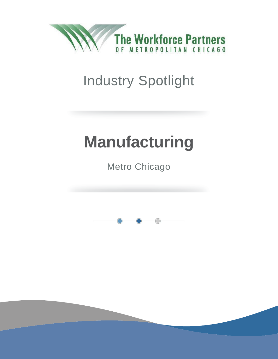

## Industry Spotlight

# **Manufacturing**

Metro Chicago

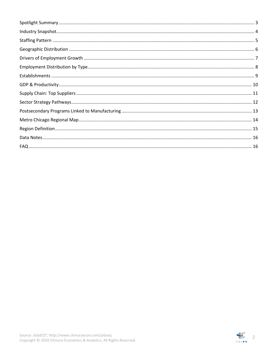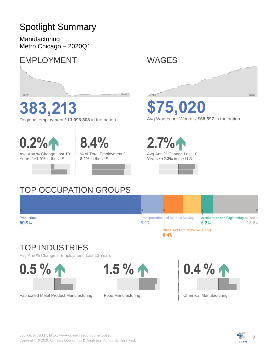### <span id="page-2-0"></span>Spotlight Summary

Manufacturing Metro Chicago – 2020Q1

### EMPLOYMENT



# **383,213**

Regional employment / **13,096,308** in the nation



Avg Ann % Change Last 10 Years / **+1.0%** in the U.S.



% of Total Employment / **8.2%** in the U.S.

**8.4%**



### TOP OCCUPATION GROUPS



**\$75,020**

Avg Wages per Worker / **\$68,597** in the nation



Avg Ann % Change Last 10 Years / **+2.3%** in the U.S.





### TOP INDUSTRIES

Avg Ann % Change in Employment, Last 10 Years



Fabricated Metal Product Manufacturing







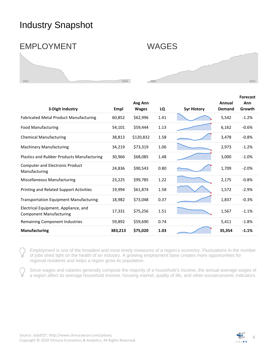### <span id="page-3-0"></span>Industry Snapshot



| 3-Digit Industry                                                       | Empl    | Avg Ann<br><b>Wages</b> | LQ   | <b>5yr History</b> | Annual<br>Demand | <b>Forecast</b><br>Ann<br>Growth |
|------------------------------------------------------------------------|---------|-------------------------|------|--------------------|------------------|----------------------------------|
| <b>Fabricated Metal Product Manufacturing</b>                          | 60,852  | \$62,996                | 1.41 |                    | 5,542            | $-1.2%$                          |
| <b>Food Manufacturing</b>                                              | 54,101  | \$59,444                | 1.13 |                    | 6,162            | $-0.6%$                          |
| <b>Chemical Manufacturing</b>                                          | 38,813  | \$120,832               | 1.58 |                    | 3,478            | $-0.8%$                          |
| <b>Machinery Manufacturing</b>                                         | 34,219  | \$73,319                | 1.06 |                    | 2,973            | $-1.2%$                          |
| <b>Plastics and Rubber Products Manufacturing</b>                      | 30,966  | \$68,085                | 1.48 |                    | 3,000            | $-1.0%$                          |
| <b>Computer and Electronic Product</b><br>Manufacturing                | 24,836  | \$90,543                | 0.80 |                    | 1,709            | $-2.0%$                          |
| Miscellaneous Manufacturing                                            | 23,225  | \$99,785                | 1.22 |                    | 2,175            | $-0.8%$                          |
| Printing and Related Support Activities                                | 19,994  | \$61,874                | 1.58 |                    | 1,572            | $-2.9%$                          |
| <b>Transportation Equipment Manufacturing</b>                          | 18,982  | \$73,048                | 0.37 |                    | 1,837            | $-0.3%$                          |
| Electrical Equipment, Appliance, and<br><b>Component Manufacturing</b> | 17,331  | \$75,256                | 1.51 |                    | 1,567            | $-1.1%$                          |
| Remaining Component Industries                                         | 59,892  | \$59,690                | 0.74 |                    | 5,411            | $-1.8%$                          |
| <b>Manufacturing</b>                                                   | 383,213 | \$75,020                | 1.03 |                    | 35,354           | $-1.1%$                          |

Employment is one of the broadest and most timely measures of a region's economy. Fluctuations in the number of jobs shed light on the health of an industry. A growing employment base creates more opportunities for regional residents and helps a region grow its population.

Since wages and salaries generally compose the majority of a household's income, the annual average wages of a region affect its average household income, housing market, quality of life, and other socioeconomic indicators.

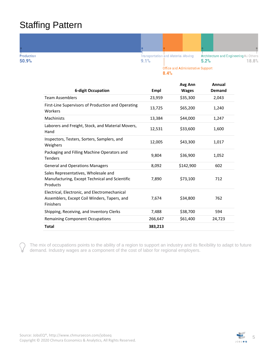### <span id="page-4-0"></span>Staffing Pattern



 $8.4%$ 

| <b>6-digit Occupation</b>                                                                                         | Empl    | Avg Ann<br><b>Wages</b> | Annual<br>Demand |
|-------------------------------------------------------------------------------------------------------------------|---------|-------------------------|------------------|
| <b>Team Assemblers</b>                                                                                            | 23,959  | \$35,300                | 2,043            |
| First-Line Supervisors of Production and Operating<br>Workers                                                     | 13,725  | \$65,200                | 1,240            |
| Machinists                                                                                                        | 13,384  | \$44,000                | 1,247            |
| Laborers and Freight, Stock, and Material Movers,<br>Hand                                                         | 12,531  | \$33,600                | 1,600            |
| Inspectors, Testers, Sorters, Samplers, and<br>Weighers                                                           | 12,005  | \$43,300                | 1,017            |
| Packaging and Filling Machine Operators and<br><b>Tenders</b>                                                     | 9,804   | \$36,900                | 1,052            |
| <b>General and Operations Managers</b>                                                                            | 8,092   | \$142,900               | 602              |
| Sales Representatives, Wholesale and<br>Manufacturing, Except Technical and Scientific<br>Products                | 7,890   | \$73,100                | 712              |
| Electrical, Electronic, and Electromechanical<br>Assemblers, Except Coil Winders, Tapers, and<br><b>Finishers</b> | 7,674   | \$34,800                | 762              |
| Shipping, Receiving, and Inventory Clerks                                                                         | 7,488   | \$38,700                | 594              |
| <b>Remaining Component Occupations</b>                                                                            | 266,647 | \$61,400                | 24,723           |
| Total                                                                                                             | 383,213 |                         |                  |

The mix of occupations points to the ability of a region to support an industry and its flexibility to adapt to future demand. Industry wages are a component of the cost of labor for regional employers.

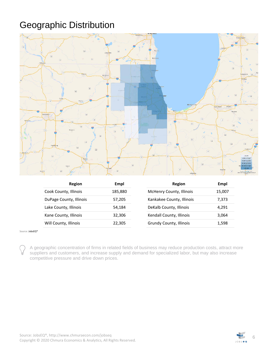### <span id="page-5-0"></span>Geographic Distribution



| Region                  | Empl    | Region                    | Empl   |
|-------------------------|---------|---------------------------|--------|
| Cook County, Illinois   | 185,880 | McHenry County, Illinois  | 15,007 |
| DuPage County, Illinois | 57,205  | Kankakee County, Illinois | 7,373  |
| Lake County, Illinois   | 54.184  | DeKalb County, Illinois   | 4.291  |
| Kane County, Illinois   | 32.306  | Kendall County, Illinois  | 3,064  |
| Will County, Illinois   | 22,305  | Grundy County, Illinois   | 1,598  |

Source[: JobsEQ®](http://www.chmuraecon.com/jobseq)

A geographic concentration of firms in related fields of business may reduce production costs, attract more suppliers and customers, and increase supply and demand for specialized labor, but may also increase competitive pressure and drive down prices.

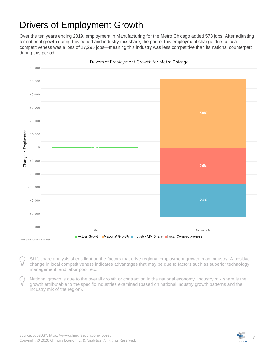### <span id="page-6-0"></span>Drivers of Employment Growth

Over the ten years ending 2019, employment in Manufacturing for the Metro Chicago added 573 jobs. After adjusting for national growth during this period and industry mix share, the part of this employment change due to local competitiveness was a loss of 27,295 jobs—meaning this industry was less competitive than its national counterpart during this period.



Drivers of Employment Growth for Metro Chicago

Shift-share analysis sheds light on the factors that drive regional employment growth in an industry. A positive change in local competitiveness indicates advantages that may be due to factors such as superior technology, management, and labor pool, etc.

National growth is due to the overall growth or contraction in the national economy. Industry mix share is the growth attributable to the specific industries examined (based on national industry growth patterns and the industry mix of the region).

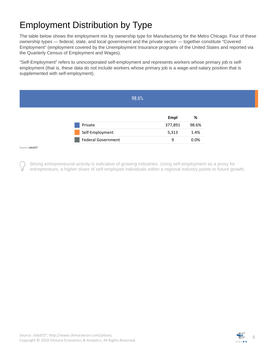### <span id="page-7-0"></span>Employment Distribution by Type

The table below shows the employment mix by ownership type for Manufacturing for the Metro Chicago. Four of these ownership types — federal, state, and local government and the private sector — together constitute "Covered Employment" (employment covered by the Unemployment Insurance programs of the United States and reported via the Quarterly Census of Employment and Wages).

"Self-Employment" refers to unincorporated self-employment and represents workers whose primary job is selfemployment (that is, these data do not include workers whose primary job is a wage-and-salary position that is supplemented with self-employment).

|                 | 98.6%                     |         |       |
|-----------------|---------------------------|---------|-------|
|                 |                           | Empl    | %     |
|                 | Private                   | 377,891 | 98.6% |
|                 | Self-Employment           | 5,313   | 1.4%  |
|                 | <b>Federal Government</b> | 9       | 0.0%  |
| Source: JobsEQ® |                           |         |       |

Strong entrepreneurial activity is indicative of growing industries. Using self-employment as a proxy for entrepreneurs, a higher share of self-employed individuals within a regional industry points to future growth.

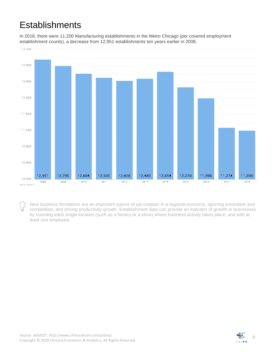### <span id="page-8-0"></span>**Establishments**

In 2018, there were 11,200 Manufacturing establishments in the Metro Chicago (per covered employment establishment counts), a decrease from 12,951 establishments ten years earlier in 2008.



New business formations are an important source of job creation in a regional economy, spurring innovation and competition, and driving productivity growth. Establishment data can provide an indicator of growth in businesses by counting each single location (such as a factory or a store) where business activity takes place, and with at least one employee.

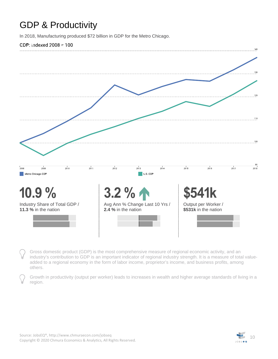### <span id="page-9-0"></span>GDP & Productivity

In 2018, Manufacturing produced \$72 billion in GDP for the Metro Chicago.

#### **CDP: Indexed 2008 = 100**



Gross domestic product (GDP) is the most comprehensive measure of regional economic activity, and an industry's contribution to GDP is an important indicator of regional industry strength. It is a measure of total valueadded to a regional economy in the form of labor income, proprietor's income, and business profits, among others.

Growth in productivity (output per worker) leads to increases in wealth and higher average standards of living in a region.

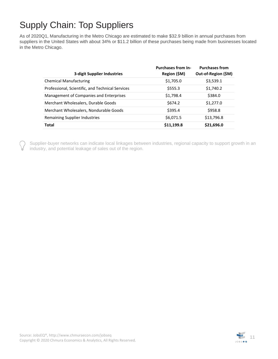### <span id="page-10-0"></span>Supply Chain: Top Suppliers

As of 2020Q1, Manufacturing in the Metro Chicago are estimated to make \$32.9 billion in annual purchases from suppliers in the United States with about 34% or \$11.2 billion of these purchases being made from businesses located in the Metro Chicago.

| <b>3-digit Supplier Industries</b>               | <b>Purchases from In-</b><br>Region (\$M) | <b>Purchases from</b><br>Out-of-Region (\$M) |
|--------------------------------------------------|-------------------------------------------|----------------------------------------------|
| <b>Chemical Manufacturing</b>                    | \$1,705.0                                 | \$3,539.1                                    |
| Professional, Scientific, and Technical Services | \$555.3                                   | \$1,740.2                                    |
| Management of Companies and Enterprises          | \$1,798.4                                 | \$384.0                                      |
| Merchant Wholesalers, Durable Goods              | \$674.2                                   | \$1,277.0                                    |
| Merchant Wholesalers, Nondurable Goods           | \$395.4                                   | \$958.8                                      |
| Remaining Supplier Industries                    | \$6,071.5                                 | \$13,796.8                                   |
| <b>Total</b>                                     | \$11,199.8                                | \$21,696.0                                   |

Supplier-buyer networks can indicate local linkages between industries, regional capacity to support growth in an industry, and potential leakage of sales out of the region.

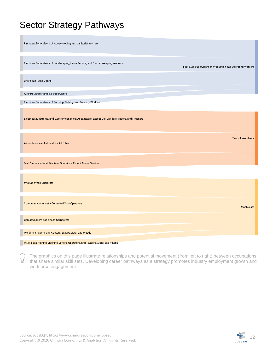### <span id="page-11-0"></span>Sector Strategy Pathways

| First-Line Supervisors of Housekeeping and Janitorial Workers                   |                                                            |
|---------------------------------------------------------------------------------|------------------------------------------------------------|
|                                                                                 |                                                            |
| First-Line Supervisors of Landscaping, Lawn Service, and Croundskeeping Workers | First-Line Supervisors of Production and Operating Workers |
|                                                                                 |                                                            |
| Chefs and Head Cooks                                                            |                                                            |
|                                                                                 |                                                            |
| Nircraft Cargo Handling Supervisors                                             |                                                            |
|                                                                                 |                                                            |
| First-Line Supervisors of Farming, Fishing, and Forestry Workers                |                                                            |
|                                                                                 |                                                            |

Electrical, Electronic, and Electromechanical Assemblers, Except Coil Winders, Tapers, and Finishers

Assemblers and Fabricators, All Other

Mail Clerks and Mail Machine Operators, Except Postal Service

**Printing Press Operators** 

**Computer Numerically Controlled Tool Operators** 

Cabinetmakers and Bench Carpenters

Molders, Shapers, and Casters, Except Metal and Plastic

#### Milling and Planing Machine Setters, Operators, and Tenders, Metal and Plastic

The graphics on this page illustrate relationships and potential movement (from left to right) between occupations that share similar skill sets. Developing career pathways as a strategy promotes industry employment growth and workforce engagement.



**Team Assemblers** 

Machinists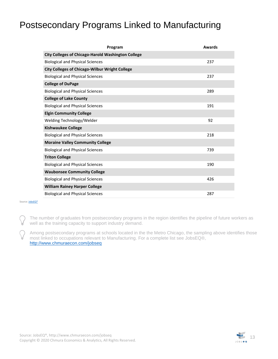### <span id="page-12-0"></span>Postsecondary Programs Linked to Manufacturing

| Program                                                   | <b>Awards</b> |
|-----------------------------------------------------------|---------------|
| <b>City Colleges of Chicago-Harold Washington College</b> |               |
| <b>Biological and Physical Sciences</b>                   | 237           |
| <b>City Colleges of Chicago-Wilbur Wright College</b>     |               |
| <b>Biological and Physical Sciences</b>                   | 237           |
| <b>College of DuPage</b>                                  |               |
| <b>Biological and Physical Sciences</b>                   | 289           |
| <b>College of Lake County</b>                             |               |
| <b>Biological and Physical Sciences</b>                   | 191           |
| <b>Elgin Community College</b>                            |               |
| Welding Technology/Welder                                 | 92            |
| <b>Kishwaukee College</b>                                 |               |
| <b>Biological and Physical Sciences</b>                   | 218           |
| <b>Moraine Valley Community College</b>                   |               |
| <b>Biological and Physical Sciences</b>                   | 739           |
| <b>Triton College</b>                                     |               |
| <b>Biological and Physical Sciences</b>                   | 190           |
| <b>Waubonsee Community College</b>                        |               |
| <b>Biological and Physical Sciences</b>                   | 426           |
| <b>William Rainey Harper College</b>                      |               |
| <b>Biological and Physical Sciences</b>                   | 287           |

Source: **JobsEQ®** 

The number of graduates from postsecondary programs in the region identifies the pipeline of future workers as well as the training capacity to support industry demand.

Among postsecondary programs at schools located in the the Metro Chicago, the sampling above identifies those most linked to occupations relevant to Manufacturing. For a complete list see JobsEQ®, <http://www.chmuraecon.com/jobseq>

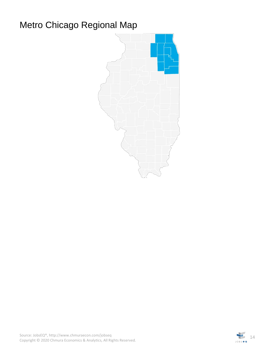### <span id="page-13-0"></span>Metro Chicago Regional Map



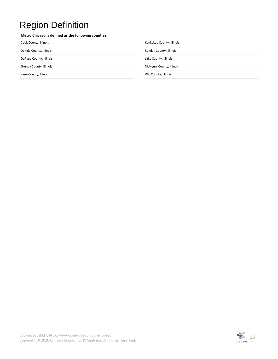### <span id="page-14-0"></span>Region Definition

#### **Metro Chicago is defined as the following counties:**

| Cook County, Illinois   | Kankakee County, Illinois |
|-------------------------|---------------------------|
| DeKalb County, Illinois | Kendall County, Illinois  |
| DuPage County, Illinois | Lake County, Illinois     |
| Grundy County, Illinois | McHenry County, Illinois  |
| Kane County, Illinois   | Will County, Illinois     |
|                         |                           |